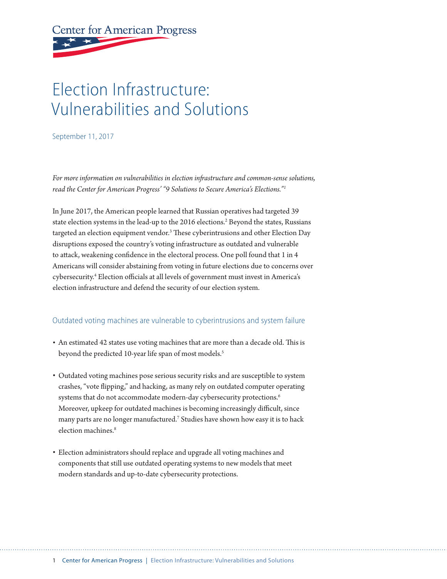# **Center for American Progress**

# Election Infrastructure: Vulnerabilities and Solutions

September 11, 2017

*For more information on vulnerabilities in election infrastructure and common-sense solutions, read the Center for American Progress' "9 Solutions to Secure America's Elections."1*

In June 2017, the American people learned that Russian operatives had targeted 39 state election systems in the lead-up to the 2016 elections.<sup>2</sup> Beyond the states, Russians targeted an election equipment vendor.<sup>3</sup> These cyberintrusions and other Election Day disruptions exposed the country's voting infrastructure as outdated and vulnerable to attack, weakening confidence in the electoral process. One poll found that 1 in 4 Americans will consider abstaining from voting in future elections due to concerns over cybersecurity.4 Election officials at all levels of government must invest in America's election infrastructure and defend the security of our election system.

#### Outdated voting machines are vulnerable to cyberintrusions and system failure

- An estimated 42 states use voting machines that are more than a decade old. This is beyond the predicted 10-year life span of most models.<sup>5</sup>
- Outdated voting machines pose serious security risks and are susceptible to system crashes, "vote flipping," and hacking, as many rely on outdated computer operating systems that do not accommodate modern-day cybersecurity protections.<sup>6</sup> Moreover, upkeep for outdated machines is becoming increasingly difficult, since many parts are no longer manufactured.7 Studies have shown how easy it is to hack election machines.<sup>8</sup>
- Election administrators should replace and upgrade all voting machines and components that still use outdated operating systems to new models that meet modern standards and up-to-date cybersecurity protections.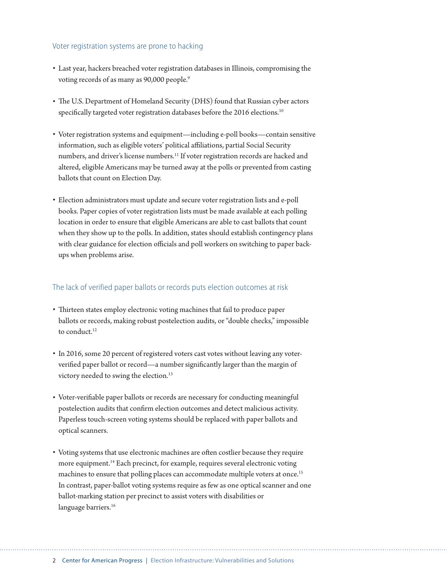#### Voter registration systems are prone to hacking

- Last year, hackers breached voter registration databases in Illinois, compromising the voting records of as many as 90,000 people.<sup>9</sup>
- The U.S. Department of Homeland Security (DHS) found that Russian cyber actors specifically targeted voter registration databases before the 2016 elections.<sup>10</sup>
- Voter registration systems and equipment—including e-poll books—contain sensitive information, such as eligible voters' political affiliations, partial Social Security numbers, and driver's license numbers.<sup>11</sup> If voter registration records are hacked and altered, eligible Americans may be turned away at the polls or prevented from casting ballots that count on Election Day.
- Election administrators must update and secure voter registration lists and e-poll books. Paper copies of voter registration lists must be made available at each polling location in order to ensure that eligible Americans are able to cast ballots that count when they show up to the polls. In addition, states should establish contingency plans with clear guidance for election officials and poll workers on switching to paper backups when problems arise.

#### The lack of verified paper ballots or records puts election outcomes at risk

- Thirteen states employ electronic voting machines that fail to produce paper ballots or records, making robust postelection audits, or "double checks," impossible to conduct.<sup>12</sup>
- In 2016, some 20 percent of registered voters cast votes without leaving any voterverified paper ballot or record—a number significantly larger than the margin of victory needed to swing the election.<sup>13</sup>
- Voter-verifiable paper ballots or records are necessary for conducting meaningful postelection audits that confirm election outcomes and detect malicious activity. Paperless touch-screen voting systems should be replaced with paper ballots and optical scanners.
- Voting systems that use electronic machines are often costlier because they require more equipment.<sup>14</sup> Each precinct, for example, requires several electronic voting machines to ensure that polling places can accommodate multiple voters at once.<sup>15</sup> In contrast, paper-ballot voting systems require as few as one optical scanner and one ballot-marking station per precinct to assist voters with disabilities or language barriers.<sup>16</sup>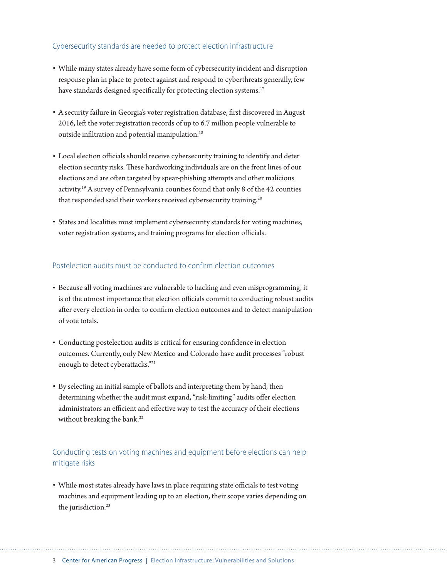#### Cybersecurity standards are needed to protect election infrastructure

- While many states already have some form of cybersecurity incident and disruption response plan in place to protect against and respond to cyberthreats generally, few have standards designed specifically for protecting election systems.<sup>17</sup>
- A security failure in Georgia's voter registration database, first discovered in August 2016, left the voter registration records of up to 6.7 million people vulnerable to outside infiltration and potential manipulation.<sup>18</sup>
- Local election officials should receive cybersecurity training to identify and deter election security risks. These hardworking individuals are on the front lines of our elections and are often targeted by spear-phishing attempts and other malicious activity.19 A survey of Pennsylvania counties found that only 8 of the 42 counties that responded said their workers received cybersecurity training.<sup>20</sup>
- States and localities must implement cybersecurity standards for voting machines, voter registration systems, and training programs for election officials.

#### Postelection audits must be conducted to confirm election outcomes

- Because all voting machines are vulnerable to hacking and even misprogramming, it is of the utmost importance that election officials commit to conducting robust audits after every election in order to confirm election outcomes and to detect manipulation of vote totals.
- Conducting postelection audits is critical for ensuring confidence in election outcomes. Currently, only New Mexico and Colorado have audit processes "robust enough to detect cyberattacks."21
- By selecting an initial sample of ballots and interpreting them by hand, then determining whether the audit must expand, "risk-limiting" audits offer election administrators an efficient and effective way to test the accuracy of their elections without breaking the bank.<sup>22</sup>

### Conducting tests on voting machines and equipment before elections can help mitigate risks

• While most states already have laws in place requiring state officials to test voting machines and equipment leading up to an election, their scope varies depending on the jurisdiction.<sup>23</sup>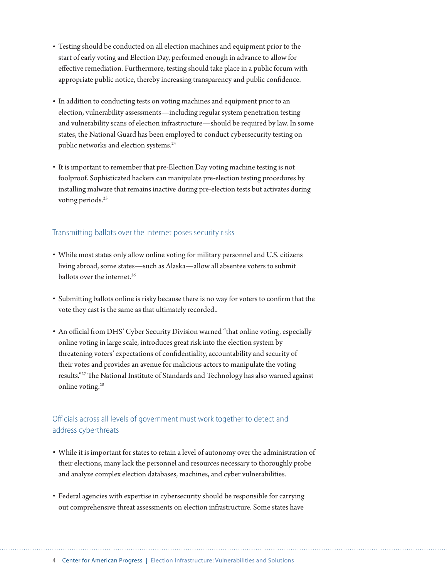- Testing should be conducted on all election machines and equipment prior to the start of early voting and Election Day, performed enough in advance to allow for effective remediation. Furthermore, testing should take place in a public forum with appropriate public notice, thereby increasing transparency and public confidence.
- In addition to conducting tests on voting machines and equipment prior to an election, vulnerability assessments—including regular system penetration testing and vulnerability scans of election infrastructure—should be required by law. In some states, the National Guard has been employed to conduct cybersecurity testing on public networks and election systems.<sup>24</sup>
- It is important to remember that pre-Election Day voting machine testing is not foolproof. Sophisticated hackers can manipulate pre-election testing procedures by installing malware that remains inactive during pre-election tests but activates during voting periods.<sup>25</sup>

#### Transmitting ballots over the internet poses security risks

- While most states only allow online voting for military personnel and U.S. citizens living abroad, some states—such as Alaska—allow all absentee voters to submit ballots over the internet<sup>26</sup>
- Submitting ballots online is risky because there is no way for voters to confirm that the vote they cast is the same as that ultimately recorded..
- An official from DHS' Cyber Security Division warned "that online voting, especially online voting in large scale, introduces great risk into the election system by threatening voters' expectations of confidentiality, accountability and security of their votes and provides an avenue for malicious actors to manipulate the voting results."27 The National Institute of Standards and Technology has also warned against online voting.<sup>28</sup>

## Officials across all levels of government must work together to detect and address cyberthreats

- While it is important for states to retain a level of autonomy over the administration of their elections, many lack the personnel and resources necessary to thoroughly probe and analyze complex election databases, machines, and cyber vulnerabilities.
- Federal agencies with expertise in cybersecurity should be responsible for carrying out comprehensive threat assessments on election infrastructure. Some states have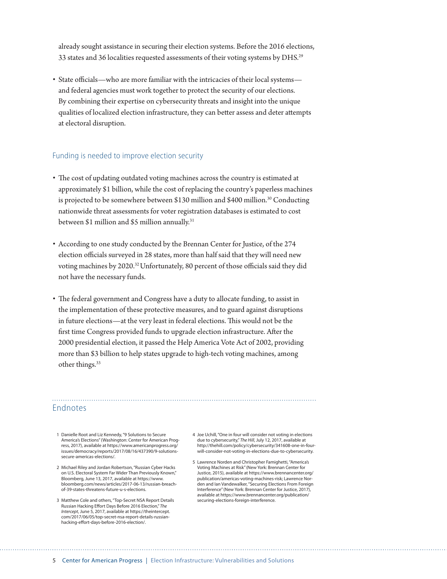already sought assistance in securing their election systems. Before the 2016 elections, 33 states and 36 localities requested assessments of their voting systems by DHS.29

• State officials—who are more familiar with the intricacies of their local systems and federal agencies must work together to protect the security of our elections. By combining their expertise on cybersecurity threats and insight into the unique qualities of localized election infrastructure, they can better assess and deter attempts at electoral disruption.

#### Funding is needed to improve election security

- The cost of updating outdated voting machines across the country is estimated at approximately \$1 billion, while the cost of replacing the country's paperless machines is projected to be somewhere between \$130 million and \$400 million.<sup>30</sup> Conducting nationwide threat assessments for voter registration databases is estimated to cost between \$1 million and \$5 million annually.<sup>31</sup>
- According to one study conducted by the Brennan Center for Justice, of the 274 election officials surveyed in 28 states, more than half said that they will need new voting machines by 2020.32 Unfortunately, 80 percent of those officials said they did not have the necessary funds.
- The federal government and Congress have a duty to allocate funding, to assist in the implementation of these protective measures, and to guard against disruptions in future elections—at the very least in federal elections. This would not be the first time Congress provided funds to upgrade election infrastructure. After the 2000 presidential election, it passed the Help America Vote Act of 2002, providing more than \$3 billion to help states upgrade to high-tech voting machines, among other things.<sup>33</sup>

#### Endnotes

- 1 Danielle Root and Liz Kennedy, "9 Solutions to Secure America's Elections" (Washington: Center for American Progress, 2017), available at https://www.americanprogress.org/ issues/democracy/reports/2017/08/16/437390/9-solutionssecure-americas-elections/.
- 2 Michael Riley and Jordan Robertson, "Russian Cyber Hacks on U.S. Electoral System Far Wider Than Previously Known," Bloomberg, June 13, 2017, available at https://www. bloomberg.com/news/articles/2017-06-13/russian-breachof-39-states-threatens-future-u-s-elections.
- 3 Matthew Cole and others, "Top-Secret NSA Report Details Russian Hacking Effort Days Before 2016 Election," *The Intercept*, June 5, 2017, available at https://theintercept. com/2017/06/05/top-secret-nsa-report-details-russianhacking-effort-days-before-2016-election/.
- 4 Joe Uchill, "One in four will consider not voting in elections due to cybersecurity," *The Hill*, July 12, 2017, available at http://thehill.com/policy/cybersecurity/341608-one-in-fourwill-consider-not-voting-in-elections-due-to-cybersecurity.
- 5 Lawrence Norden and Christopher Famighetti, "America's Voting Machines at Risk" (New York: Brennan Center for Justice, 2015), available at https://www.brennancenter.org/ publication/americas-voting-machines-risk; Lawrence Norden and Ian Vandewalker, "Securing Elections From Foreign Interference" (New York: Brennan Center for Justice, 2017), available at https://www.brennancenter.org/publication/ securing-elections-foreign-interference.